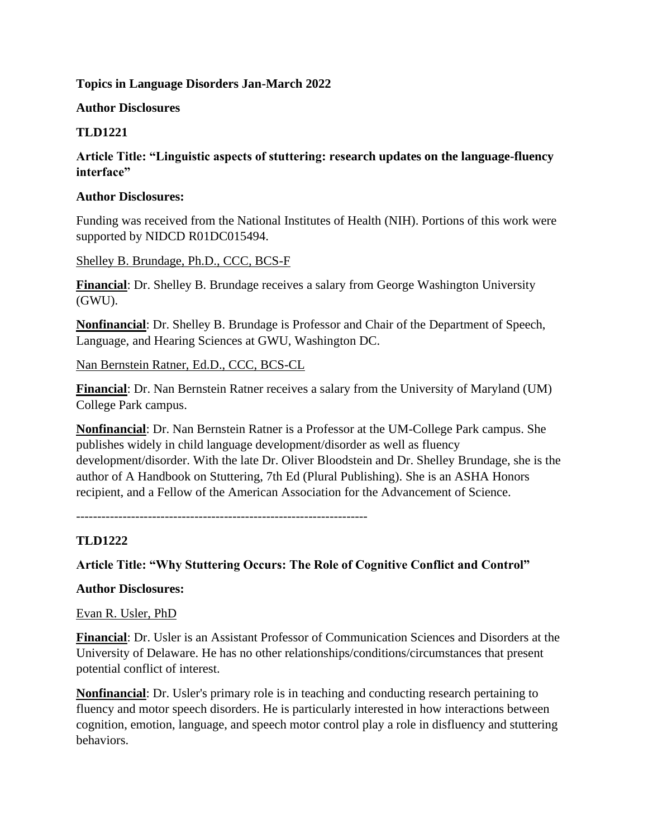### **Topics in Language Disorders Jan-March 2022**

### **Author Disclosures**

## **TLD1221**

**Article Title: "Linguistic aspects of stuttering: research updates on the language-fluency interface"**

#### **Author Disclosures:**

Funding was received from the National Institutes of Health (NIH). Portions of this work were supported by NIDCD R01DC015494.

Shelley B. Brundage, Ph.D., CCC, BCS-F

**Financial**: Dr. Shelley B. Brundage receives a salary from George Washington University (GWU).

**Nonfinancial**: Dr. Shelley B. Brundage is Professor and Chair of the Department of Speech, Language, and Hearing Sciences at GWU, Washington DC.

### Nan Bernstein Ratner, Ed.D., CCC, BCS-CL

**Financial**: Dr. Nan Bernstein Ratner receives a salary from the University of Maryland (UM) College Park campus.

**Nonfinancial**: Dr. Nan Bernstein Ratner is a Professor at the UM-College Park campus. She publishes widely in child language development/disorder as well as fluency development/disorder. With the late Dr. Oliver Bloodstein and Dr. Shelley Brundage, she is the author of A Handbook on Stuttering, 7th Ed (Plural Publishing). She is an ASHA Honors recipient, and a Fellow of the American Association for the Advancement of Science.

---------------------------------------------------------------------

## **TLD1222**

## **Article Title: "Why Stuttering Occurs: The Role of Cognitive Conflict and Control"**

## **Author Disclosures:**

#### Evan R. Usler, PhD

**Financial**: Dr. Usler is an Assistant Professor of Communication Sciences and Disorders at the University of Delaware. He has no other relationships/conditions/circumstances that present potential conflict of interest.

**Nonfinancial**: Dr. Usler's primary role is in teaching and conducting research pertaining to fluency and motor speech disorders. He is particularly interested in how interactions between cognition, emotion, language, and speech motor control play a role in disfluency and stuttering behaviors.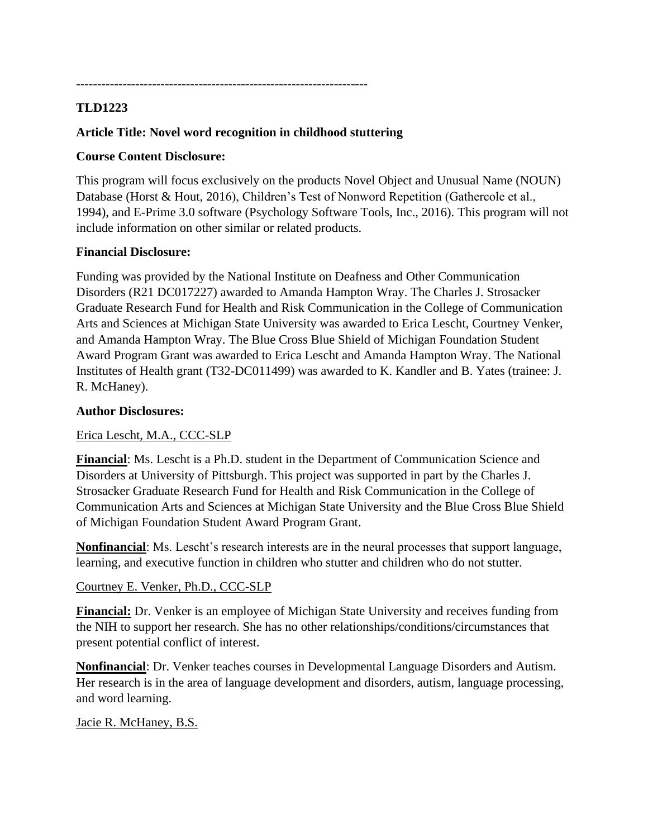---------------------------------------------------------------------

## **TLD1223**

## **Article Title: Novel word recognition in childhood stuttering**

### **Course Content Disclosure:**

This program will focus exclusively on the products Novel Object and Unusual Name (NOUN) Database (Horst & Hout, 2016), Children's Test of Nonword Repetition (Gathercole et al., 1994), and E-Prime 3.0 software (Psychology Software Tools, Inc., 2016). This program will not include information on other similar or related products.

### **Financial Disclosure:**

Funding was provided by the National Institute on Deafness and Other Communication Disorders (R21 DC017227) awarded to Amanda Hampton Wray. The Charles J. Strosacker Graduate Research Fund for Health and Risk Communication in the College of Communication Arts and Sciences at Michigan State University was awarded to Erica Lescht, Courtney Venker, and Amanda Hampton Wray. The Blue Cross Blue Shield of Michigan Foundation Student Award Program Grant was awarded to Erica Lescht and Amanda Hampton Wray. The National Institutes of Health grant (T32-DC011499) was awarded to K. Kandler and B. Yates (trainee: J. R. McHaney).

### **Author Disclosures:**

Erica Lescht, M.A., CCC-SLP

**Financial**: Ms. Lescht is a Ph.D. student in the Department of Communication Science and Disorders at University of Pittsburgh. This project was supported in part by the Charles J. Strosacker Graduate Research Fund for Health and Risk Communication in the College of Communication Arts and Sciences at Michigan State University and the Blue Cross Blue Shield of Michigan Foundation Student Award Program Grant.

**Nonfinancial**: Ms. Lescht's research interests are in the neural processes that support language, learning, and executive function in children who stutter and children who do not stutter.

#### Courtney E. Venker, Ph.D., CCC-SLP

**Financial:** Dr. Venker is an employee of Michigan State University and receives funding from the NIH to support her research. She has no other relationships/conditions/circumstances that present potential conflict of interest.

**Nonfinancial**: Dr. Venker teaches courses in Developmental Language Disorders and Autism. Her research is in the area of language development and disorders, autism, language processing, and word learning.

## Jacie R. McHaney, B.S.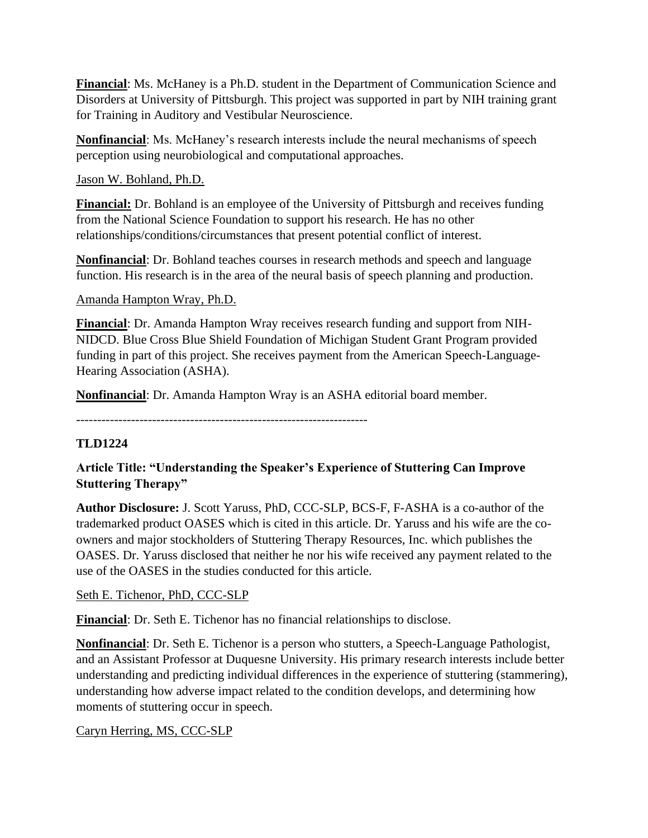**Financial**: Ms. McHaney is a Ph.D. student in the Department of Communication Science and Disorders at University of Pittsburgh. This project was supported in part by NIH training grant for Training in Auditory and Vestibular Neuroscience.

**Nonfinancial**: Ms. McHaney's research interests include the neural mechanisms of speech perception using neurobiological and computational approaches.

Jason W. Bohland, Ph.D.

**Financial:** Dr. Bohland is an employee of the University of Pittsburgh and receives funding from the National Science Foundation to support his research. He has no other relationships/conditions/circumstances that present potential conflict of interest.

**Nonfinancial**: Dr. Bohland teaches courses in research methods and speech and language function. His research is in the area of the neural basis of speech planning and production.

Amanda Hampton Wray, Ph.D.

**Financial**: Dr. Amanda Hampton Wray receives research funding and support from NIH-NIDCD. Blue Cross Blue Shield Foundation of Michigan Student Grant Program provided funding in part of this project. She receives payment from the American Speech-Language-Hearing Association (ASHA).

**Nonfinancial**: Dr. Amanda Hampton Wray is an ASHA editorial board member.

---------------------------------------------------------------------

# **TLD1224**

# **Article Title: "Understanding the Speaker's Experience of Stuttering Can Improve Stuttering Therapy"**

**Author Disclosure:** J. Scott Yaruss, PhD, CCC-SLP, BCS-F, F-ASHA is a co-author of the trademarked product OASES which is cited in this article. Dr. Yaruss and his wife are the coowners and major stockholders of Stuttering Therapy Resources, Inc. which publishes the OASES. Dr. Yaruss disclosed that neither he nor his wife received any payment related to the use of the OASES in the studies conducted for this article.

Seth E. Tichenor, PhD, CCC-SLP

**Financial**: Dr. Seth E. Tichenor has no financial relationships to disclose.

**Nonfinancial**: Dr. Seth E. Tichenor is a person who stutters, a Speech-Language Pathologist, and an Assistant Professor at Duquesne University. His primary research interests include better understanding and predicting individual differences in the experience of stuttering (stammering), understanding how adverse impact related to the condition develops, and determining how moments of stuttering occur in speech.

## Caryn Herring, MS, CCC-SLP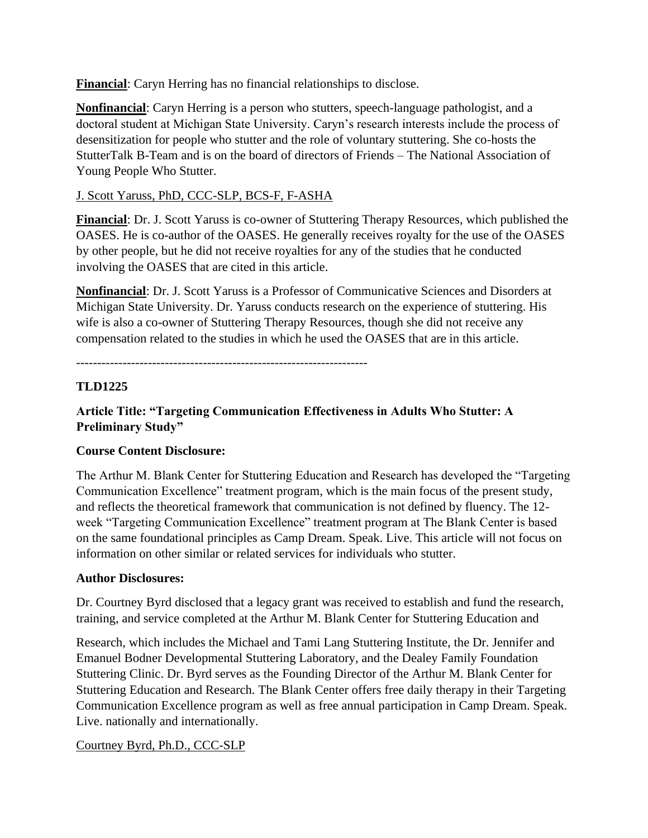**Financial**: Caryn Herring has no financial relationships to disclose.

**Nonfinancial**: Caryn Herring is a person who stutters, speech-language pathologist, and a doctoral student at Michigan State University. Caryn's research interests include the process of desensitization for people who stutter and the role of voluntary stuttering. She co-hosts the StutterTalk B-Team and is on the board of directors of Friends – The National Association of Young People Who Stutter.

# J. Scott Yaruss, PhD, CCC-SLP, BCS-F, F-ASHA

**Financial**: Dr. J. Scott Yaruss is co-owner of Stuttering Therapy Resources, which published the OASES. He is co-author of the OASES. He generally receives royalty for the use of the OASES by other people, but he did not receive royalties for any of the studies that he conducted involving the OASES that are cited in this article.

**Nonfinancial**: Dr. J. Scott Yaruss is a Professor of Communicative Sciences and Disorders at Michigan State University. Dr. Yaruss conducts research on the experience of stuttering. His wife is also a co-owner of Stuttering Therapy Resources, though she did not receive any compensation related to the studies in which he used the OASES that are in this article.

---------------------------------------------------------------------

# **TLD1225**

# **Article Title: "Targeting Communication Effectiveness in Adults Who Stutter: A Preliminary Study"**

# **Course Content Disclosure:**

The Arthur M. Blank Center for Stuttering Education and Research has developed the "Targeting Communication Excellence" treatment program, which is the main focus of the present study, and reflects the theoretical framework that communication is not defined by fluency. The 12 week "Targeting Communication Excellence" treatment program at The Blank Center is based on the same foundational principles as Camp Dream. Speak. Live. This article will not focus on information on other similar or related services for individuals who stutter.

## **Author Disclosures:**

Dr. Courtney Byrd disclosed that a legacy grant was received to establish and fund the research, training, and service completed at the Arthur M. Blank Center for Stuttering Education and

Research, which includes the Michael and Tami Lang Stuttering Institute, the Dr. Jennifer and Emanuel Bodner Developmental Stuttering Laboratory, and the Dealey Family Foundation Stuttering Clinic. Dr. Byrd serves as the Founding Director of the Arthur M. Blank Center for Stuttering Education and Research. The Blank Center offers free daily therapy in their Targeting Communication Excellence program as well as free annual participation in Camp Dream. Speak. Live. nationally and internationally.

## Courtney Byrd, Ph.D., CCC-SLP